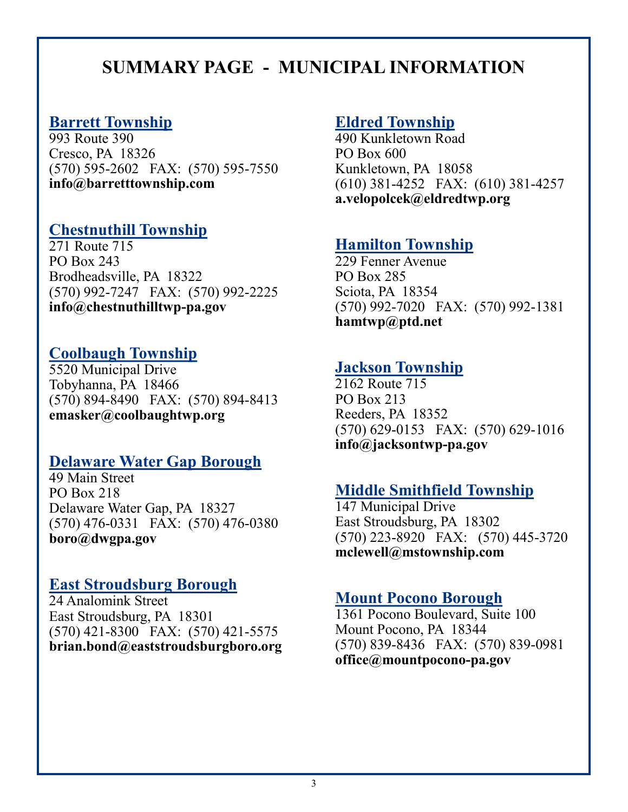# **SUMMARY PAGE - MUNICIPAL INFORMATION**

# **Barrett Township**

993 Route 390 Cresco, PA 18326 (570) 595-2602 FAX: (570) 595-7550 **info@barretttownship.com**

# **Chestnuthill Township**

271 Route 715 PO Box 243 Brodheadsville, PA 18322 (570) 992-7247 FAX: (570) 992-2225 **info@chestnuthilltwp-pa.gov**

# **Coolbaugh Township**

5520 Municipal Drive Tobyhanna, PA 18466 (570) 894-8490 FAX: (570) 894-8413 **emasker@coolbaughtwp.org**

#### **Delaware Water Gap Borough**

49 Main Street PO Box 218 Delaware Water Gap, PA 18327 (570) 476-0331 FAX: (570) 476-0380 **boro@dwgpa.gov**

# **East Stroudsburg Borough**

24 Analomink Street East Stroudsburg, PA 18301 (570) 421-8300 FAX: (570) 421-5575 **brian.bond@eaststroudsburgboro.org**

# **Eldred Township**

490 Kunkletown Road PO Box 600 Kunkletown, PA 18058 (610) 381-4252 FAX: (610) 381-4257 **a.velopolcek@eldredtwp.org**

# **Hamilton Township**

229 Fenner Avenue PO Box 285 Sciota, PA 18354 (570) 992-7020 FAX: (570) 992-1381 **hamtwp@ptd.net**

### **Jackson Township**

2162 Route 715 PO Box 213 Reeders, PA 18352 (570) 629-0153 FAX: (570) 629-1016 **info@jacksontwp-pa.gov**

### **Middle Smithfield Township**

147 Municipal Drive East Stroudsburg, PA 18302 (570) 223-8920 FAX: (570) 445-3720 **mclewell@mstownship.com**

# **Mount Pocono Borough**

1361 Pocono Boulevard, Suite 100 Mount Pocono, PA 18344 (570) 839-8436 FAX: (570) 839-0981 **office@mountpocono-pa.gov**